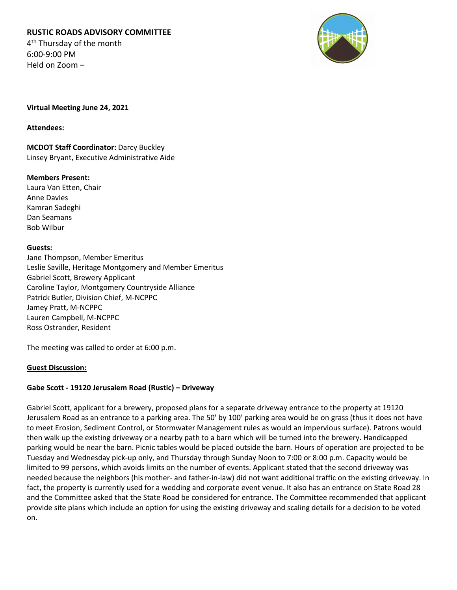# **RUSTIC ROADS ADVISORY COMMITTEE** 4<sup>th</sup> Thursday of the month

6:00-9:00 PM Held on Zoom –



**Virtual Meeting June 24, 2021**

**Attendees:**

**MCDOT Staff Coordinator:** Darcy Buckley Linsey Bryant, Executive Administrative Aide

## **Members Present:**

Laura Van Etten, Chair Anne Davies Kamran Sadeghi Dan Seamans Bob Wilbur

## **Guests:**

Jane Thompson, Member Emeritus Leslie Saville, Heritage Montgomery and Member Emeritus Gabriel Scott, Brewery Applicant Caroline Taylor, Montgomery Countryside Alliance Patrick Butler, Division Chief, M-NCPPC Jamey Pratt, M-NCPPC Lauren Campbell, M-NCPPC Ross Ostrander, Resident

The meeting was called to order at 6:00 p.m.

## **Guest Discussion:**

## **Gabe Scott - 19120 Jerusalem Road (Rustic) – Driveway**

Gabriel Scott, applicant for a brewery, proposed plans for a separate driveway entrance to the property at 19120 Jerusalem Road as an entrance to a parking area. The 50' by 100' parking area would be on grass (thus it does not have to meet Erosion, Sediment Control, or Stormwater Management rules as would an impervious surface). Patrons would then walk up the existing driveway or a nearby path to a barn which will be turned into the brewery. Handicapped parking would be near the barn. Picnic tables would be placed outside the barn. Hours of operation are projected to be Tuesday and Wednesday pick-up only, and Thursday through Sunday Noon to 7:00 or 8:00 p.m. Capacity would be limited to 99 persons, which avoids limits on the number of events. Applicant stated that the second driveway was needed because the neighbors (his mother- and father-in-law) did not want additional traffic on the existing driveway. In fact, the property is currently used for a wedding and corporate event venue. It also has an entrance on State Road 28 and the Committee asked that the State Road be considered for entrance. The Committee recommended that applicant provide site plans which include an option for using the existing driveway and scaling details for a decision to be voted on.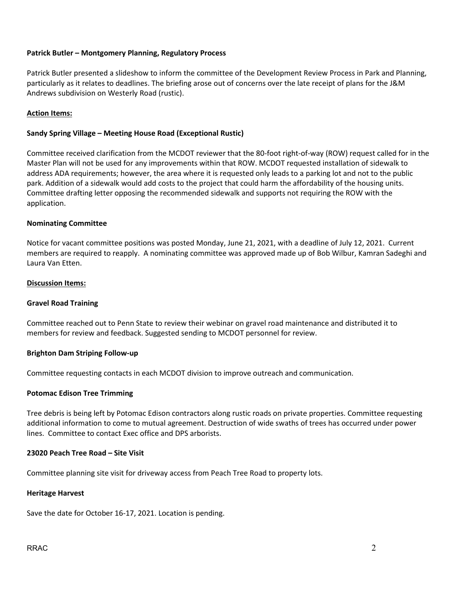### **Patrick Butler – Montgomery Planning, Regulatory Process**

Patrick Butler presented a slideshow to inform the committee of the Development Review Process in Park and Planning, particularly as it relates to deadlines. The briefing arose out of concerns over the late receipt of plans for the J&M Andrews subdivision on Westerly Road (rustic).

#### **Action Items:**

#### **Sandy Spring Village – Meeting House Road (Exceptional Rustic)**

Committee received clarification from the MCDOT reviewer that the 80-foot right-of-way (ROW) request called for in the Master Plan will not be used for any improvements within that ROW. MCDOT requested installation of sidewalk to address ADA requirements; however, the area where it is requested only leads to a parking lot and not to the public park. Addition of a sidewalk would add costs to the project that could harm the affordability of the housing units. Committee drafting letter opposing the recommended sidewalk and supports not requiring the ROW with the application.

#### **Nominating Committee**

Notice for vacant committee positions was posted Monday, June 21, 2021, with a deadline of July 12, 2021. Current members are required to reapply. A nominating committee was approved made up of Bob Wilbur, Kamran Sadeghi and Laura Van Etten.

#### **Discussion Items:**

#### **Gravel Road Training**

Committee reached out to Penn State to review their webinar on gravel road maintenance and distributed it to members for review and feedback. Suggested sending to MCDOT personnel for review.

#### **Brighton Dam Striping Follow-up**

Committee requesting contacts in each MCDOT division to improve outreach and communication.

#### **Potomac Edison Tree Trimming**

Tree debris is being left by Potomac Edison contractors along rustic roads on private properties. Committee requesting additional information to come to mutual agreement. Destruction of wide swaths of trees has occurred under power lines. Committee to contact Exec office and DPS arborists.

## **23020 Peach Tree Road – Site Visit**

Committee planning site visit for driveway access from Peach Tree Road to property lots.

#### **Heritage Harvest**

Save the date for October 16-17, 2021. Location is pending.